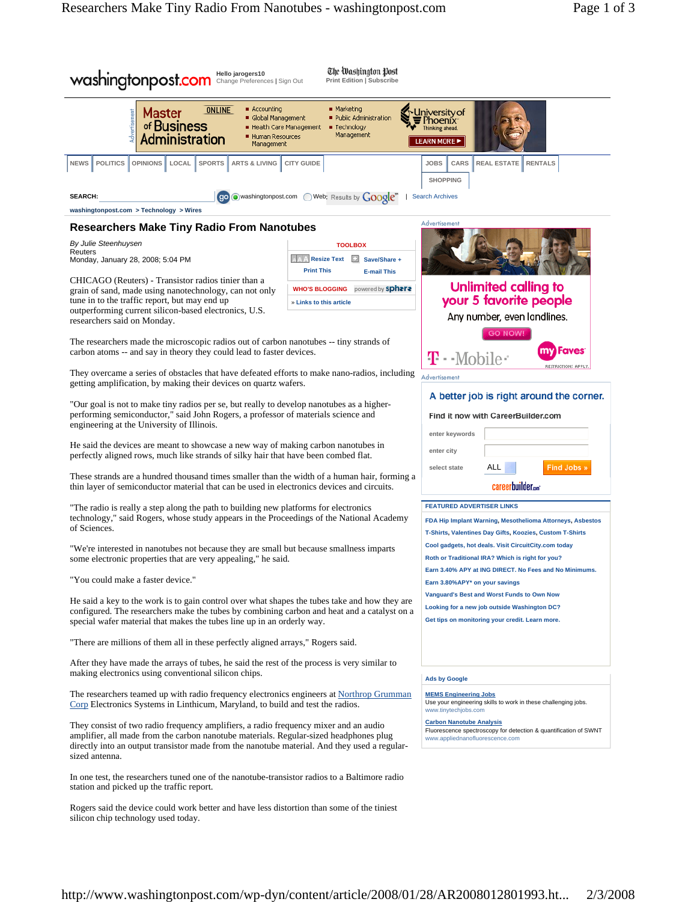| The Washington Post<br>Hello jarogers10<br>washingtonpost.com<br><b>Print Edition   Subscribe</b><br>Change Preferences   Sign Out                                                                                                                                                              |                                                                                                       |                                                                                                                                                           |
|-------------------------------------------------------------------------------------------------------------------------------------------------------------------------------------------------------------------------------------------------------------------------------------------------|-------------------------------------------------------------------------------------------------------|-----------------------------------------------------------------------------------------------------------------------------------------------------------|
| ■ Accounting<br><b>ONLINE</b><br><b>Master</b><br>dvertisemen<br>Global Management<br>of Business<br>Health Care Management<br><b>Administration</b><br>Human Resources<br>Management                                                                                                           | $M$ arketing<br>Public Administration<br>■ Technology<br>Management                                   | ~Un <u>i</u> versity of<br>Phoenix <sup>-</sup><br>Thinking ahead.<br>LEARN MORE ▶                                                                        |
| <b>SPORTS</b><br><b>NEWS</b><br><b>POLITICS</b><br><b>OPINIONS</b><br>LOCAL<br><b>ARTS &amp; LIVING</b><br><b>CITY GUIDE</b>                                                                                                                                                                    | <b>RENTALS</b><br><b>JOBS</b><br>CARS<br><b>REAL ESTATE</b>                                           |                                                                                                                                                           |
| <b>SHOPPING</b><br><b>SEARCH:</b><br>o washingtonpost.com O Web: Results by Google"<br>[go]<br><b>Search Archives</b>                                                                                                                                                                           |                                                                                                       |                                                                                                                                                           |
| washingtonpost.com > Technology > Wires<br>Advertisement                                                                                                                                                                                                                                        |                                                                                                       |                                                                                                                                                           |
| <b>Researchers Make Tiny Radio From Nanotubes</b>                                                                                                                                                                                                                                               |                                                                                                       |                                                                                                                                                           |
| By Julie Steenhuysen<br>Reuters<br>Monday, January 28, 2008; 5:04 PM                                                                                                                                                                                                                            | <b>TOOLBOX</b><br><b>Resize Text</b><br>ы.<br>Save/Share +<br><b>Print This</b><br><b>E-mail This</b> |                                                                                                                                                           |
| CHICAGO (Reuters) - Transistor radios tinier than a<br>grain of sand, made using nanotechnology, can not only<br>tune in to the traffic report, but may end up<br>outperforming current silicon-based electronics, U.S.<br>researchers said on Monday.                                          | powered by <b>sphere</b><br><b>WHO'S BLOGGING</b><br>» Links to this article                          | <b>Unlimited calling to</b><br>your 5 favorite people<br>Any number, even landlines.                                                                      |
| The researchers made the microscopic radios out of carbon nanotubes -- tiny strands of<br>carbon atoms -- and say in theory they could lead to faster devices.                                                                                                                                  |                                                                                                       | <b>GO NOW!</b><br><b>Faves</b><br>$T -$ Mobile-                                                                                                           |
| <b>RESTRICTIONS APPLY</b><br>They overcame a series of obstacles that have defeated efforts to make nano-radios, including<br>Advertisement<br>getting amplification, by making their devices on quartz wafers.                                                                                 |                                                                                                       |                                                                                                                                                           |
| "Our goal is not to make tiny radios per se, but really to develop nanotubes as a higher-<br>performing semiconductor," said John Rogers, a professor of materials science and<br>engineering at the University of Illinois.                                                                    |                                                                                                       | A better job is right around the corner.<br>Find it now with CareerBuilder.com<br>enter keywords                                                          |
| He said the devices are meant to showcase a new way of making carbon nanotubes in<br>perfectly aligned rows, much like strands of silky hair that have been combed flat.                                                                                                                        |                                                                                                       | enter city                                                                                                                                                |
| These strands are a hundred thousand times smaller than the width of a human hair, forming a<br>thin layer of semiconductor material that can be used in electronics devices and circuits.                                                                                                      |                                                                                                       | <b>Find Jobs</b><br>ALL<br>select state<br>careerbuilder                                                                                                  |
| "The radio is really a step along the path to building new platforms for electronics"<br>technology," said Rogers, whose study appears in the Proceedings of the National Academy<br>of Sciences.                                                                                               |                                                                                                       | <b>FEATURED ADVERTISER LINKS</b><br>FDA Hip Implant Warning, Mesothelioma Attorneys, Asbestos<br>T-Shirts, Valentines Day Gifts, Koozies, Custom T-Shirts |
| "We're interested in nanotubes not because they are small but because smallness imparts<br>some electronic properties that are very appealing," he said.                                                                                                                                        |                                                                                                       | Cool gadgets, hot deals. Visit CircuitCity.com today<br>Roth or Traditional IRA? Which is right for you?                                                  |
| "You could make a faster device."                                                                                                                                                                                                                                                               |                                                                                                       | Earn 3.40% APY at ING DIRECT. No Fees and No Minimums.<br>Earn 3.80%APY* on your savings                                                                  |
| He said a key to the work is to gain control over what shapes the tubes take and how they are<br>configured. The researchers make the tubes by combining carbon and heat and a catalyst on a<br>special wafer material that makes the tubes line up in an orderly way.                          |                                                                                                       | <b>Vanguard's Best and Worst Funds to Own Now</b><br>Looking for a new job outside Washington DC?<br>Get tips on monitoring your credit. Learn more.      |
| "There are millions of them all in these perfectly aligned arrays," Rogers said.                                                                                                                                                                                                                |                                                                                                       |                                                                                                                                                           |
| After they have made the arrays of tubes, he said the rest of the process is very similar to<br>making electronics using conventional silicon chips.                                                                                                                                            |                                                                                                       | <b>Ads by Google</b>                                                                                                                                      |
| The researchers teamed up with radio frequency electronics engineers at Northrop Grumman<br>Corp Electronics Systems in Linthicum, Maryland, to build and test the radios.                                                                                                                      |                                                                                                       | <b>MEMS Engineering Jobs</b><br>Use your engineering skills to work in these challenging jobs.<br>www.tinytechjobs.com                                    |
| They consist of two radio frequency amplifiers, a radio frequency mixer and an audio<br>amplifier, all made from the carbon nanotube materials. Regular-sized headphones plug<br>directly into an output transistor made from the nanotube material. And they used a regular-<br>sized antenna. |                                                                                                       | <b>Carbon Nanotube Analysis</b><br>Fluorescence spectroscopy for detection & quantification of SWNT<br>www.appliednanofluorescence.com                    |
| In one test, the researchers tuned one of the nanotube-transistor radios to a Baltimore radio<br>station and picked up the traffic report.                                                                                                                                                      |                                                                                                       |                                                                                                                                                           |
| Rogers said the device could work better and have less distortion than some of the tiniest<br>silicon chip technology used today.                                                                                                                                                               |                                                                                                       |                                                                                                                                                           |
|                                                                                                                                                                                                                                                                                                 |                                                                                                       |                                                                                                                                                           |